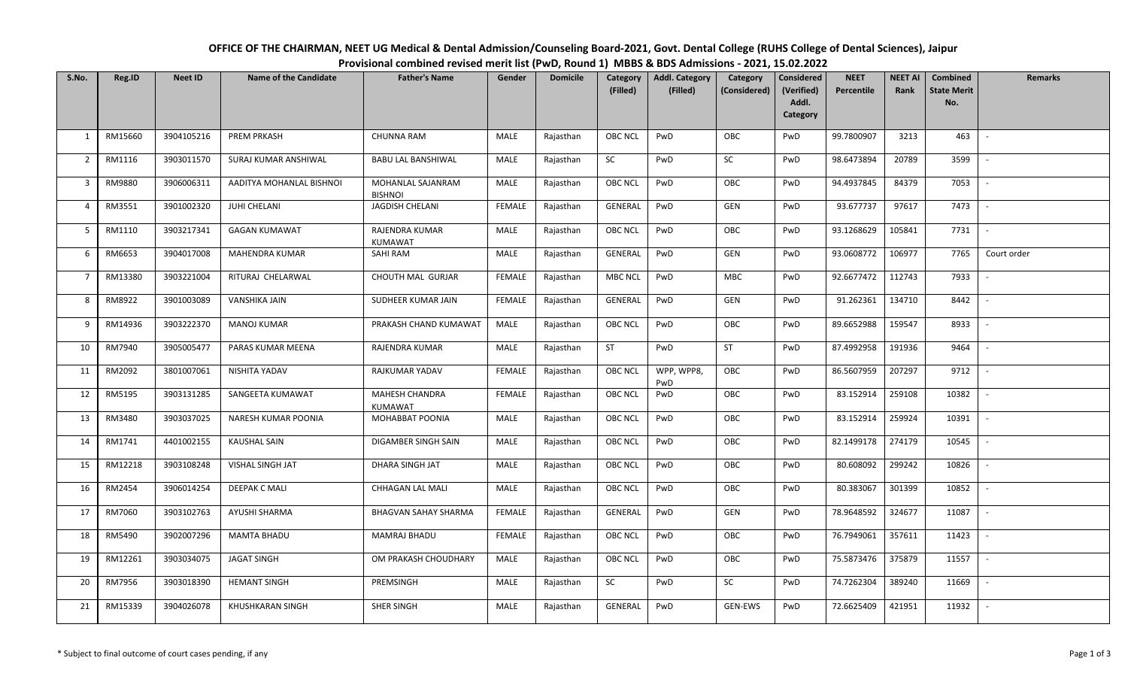| OFFICE OF THE CHAIRMAN, NEET UG Medical & Dental Admission/Counseling Board-2021, Govt. Dental College (RUHS College of Dental Sciences), Jaipur |  |
|--------------------------------------------------------------------------------------------------------------------------------------------------|--|
| Provisional combined revised merit list (PwD, Round 1) MBBS & BDS Admissions - 2021, 15.02.2022                                                  |  |

| S.No.          | Reg.ID  | <b>Neet ID</b> | <b>Name of the Candidate</b> | <b>Father's Name</b>                | Gender        | <b>Domicile</b> | Category<br>(Filled) | <b>Addl. Category</b><br>(Filled) | Category<br>(Considered) | <b>Considered</b><br>(Verified)<br>Addl.<br><b>Category</b> | <b>NEET</b><br><b>Percentile</b> | <b>NEET AI</b><br>Rank | <b>Combined</b><br><b>State Merit</b><br>No. | Remarks                  |
|----------------|---------|----------------|------------------------------|-------------------------------------|---------------|-----------------|----------------------|-----------------------------------|--------------------------|-------------------------------------------------------------|----------------------------------|------------------------|----------------------------------------------|--------------------------|
| 1              | RM15660 | 3904105216     | <b>PREM PRKASH</b>           | <b>CHUNNA RAM</b>                   | MALE          | Rajasthan       | <b>OBC NCL</b>       | PwD                               | OBC                      | PwD                                                         | 99.7800907                       | 3213                   | 463                                          |                          |
| 2              | RM1116  | 3903011570     | SURAJ KUMAR ANSHIWAL         | <b>BABU LAL BANSHIWAL</b>           | <b>MALE</b>   | Rajasthan       | SC                   | PwD                               | <b>SC</b>                | PwD                                                         | 98.6473894                       | 20789                  | 3599                                         | $\sim$                   |
| 3              | RM9880  | 3906006311     | AADITYA MOHANLAL BISHNOI     | MOHANLAL SAJANRAM<br><b>BISHNOI</b> | MALE          | Rajasthan       | <b>OBC NCL</b>       | PwD                               | OBC                      | PwD                                                         | 94.4937845                       | 84379                  | 7053                                         | $\overline{\phantom{a}}$ |
| $\overline{4}$ | RM3551  | 3901002320     | JUHI CHELANI                 | <b>JAGDISH CHELANI</b>              | <b>FEMALE</b> | Rajasthan       | GENERAL              | PwD                               | GEN                      | PwD                                                         | 93.677737                        | 97617                  | 7473                                         |                          |
| 5              | RM1110  | 3903217341     | <b>GAGAN KUMAWAT</b>         | RAJENDRA KUMAR<br>KUMAWAT           | MALE          | Rajasthan       | OBC NCL              | PwD                               | OBC                      | PwD                                                         | 93.1268629                       | 105841                 | 7731                                         | $\overline{\phantom{a}}$ |
| 6              | RM6653  | 3904017008     | MAHENDRA KUMAR               | <b>SAHI RAM</b>                     | MALE          | Rajasthan       | GENERAL              | PwD                               | GEN                      | PwD                                                         | 93.0608772                       | 106977                 | 7765                                         | Court order              |
| $\overline{7}$ | RM13380 | 3903221004     | RITURAJ CHELARWAL            | CHOUTH MAL GURJAR                   | <b>FEMALE</b> | Rajasthan       | <b>MBC NCL</b>       | PwD                               | MBC                      | PwD                                                         | 92.6677472                       | 112743                 | 7933                                         |                          |
| 8              | RM8922  | 3901003089     | VANSHIKA JAIN                | SUDHEER KUMAR JAIN                  | <b>FEMALE</b> | Rajasthan       | GENERAL              | PwD                               | GEN                      | PwD                                                         | 91.262361                        | 134710                 | 8442                                         |                          |
| 9              | RM14936 | 3903222370     | <b>MANOJ KUMAR</b>           | PRAKASH CHAND KUMAWAT               | MALE          | Rajasthan       | <b>OBC NCL</b>       | PwD                               | OBC                      | PwD                                                         | 89.6652988                       | 159547                 | 8933                                         | $\overline{\phantom{0}}$ |
| 10             | RM7940  | 3905005477     | PARAS KUMAR MEENA            | RAJENDRA KUMAR                      | MALE          | Rajasthan       | ST                   | PwD                               | ST                       | PwD                                                         | 87.4992958                       | 191936                 | 9464                                         | $\overline{\phantom{0}}$ |
| 11             | RM2092  | 3801007061     | NISHITA YADAV                | RAJKUMAR YADAV                      | <b>FEMALE</b> | Rajasthan       | OBC NCL              | WPP, WPP8,<br>PwD                 | OBC                      | PwD                                                         | 86.5607959                       | 207297                 | 9712                                         |                          |
| 12             | RM5195  | 3903131285     | SANGEETA KUMAWAT             | <b>MAHESH CHANDRA</b><br>KUMAWAT    | <b>FEMALE</b> | Rajasthan       | <b>OBC NCL</b>       | PwD                               | OBC                      | PwD                                                         | 83.152914                        | 259108                 | 10382                                        | $ \,$                    |
| 13             | RM3480  | 3903037025     | NARESH KUMAR POONIA          | MOHABBAT POONIA                     | MALE          | Rajasthan       | <b>OBC NCL</b>       | PwD                               | OBC                      | PwD                                                         | 83.152914                        | 259924                 | 10391                                        | $ \,$                    |
| 14             | RM1741  | 4401002155     | <b>KAUSHAL SAIN</b>          | DIGAMBER SINGH SAIN                 | MALE          | Rajasthan       | OBC NCL              | PwD                               | OBC                      | PwD                                                         | 82.1499178                       | 274179                 | 10545                                        |                          |
| 15             | RM12218 | 3903108248     | VISHAL SINGH JAT             | DHARA SINGH JAT                     | MALE          | Rajasthan       | OBC NCL              | PwD                               | OBC                      | PwD                                                         | 80.608092                        | 299242                 | 10826                                        | $\overline{\phantom{a}}$ |
| 16             | RM2454  | 3906014254     | DEEPAK C MALI                | CHHAGAN LAL MALI                    | MALE          | Rajasthan       | <b>OBC NCL</b>       | PwD                               | OBC                      | PwD                                                         | 80.383067                        | 301399                 | 10852                                        |                          |
| 17             | RM7060  | 3903102763     | AYUSHI SHARMA                | <b>BHAGVAN SAHAY SHARMA</b>         | FEMALE        | Rajasthan       | GENERAL              | PwD                               | GEN                      | PwD                                                         | 78.9648592                       | 324677                 | 11087                                        | $\overline{\phantom{a}}$ |
| 18             | RM5490  | 3902007296     | <b>MAMTA BHADU</b>           | MAMRAJ BHADU                        | <b>FEMALE</b> | Rajasthan       | OBC NCL              | PwD                               | OBC                      | PwD                                                         | 76.7949061                       | 357611                 | 11423                                        |                          |
| 19             | RM12261 | 3903034075     | <b>JAGAT SINGH</b>           | OM PRAKASH CHOUDHARY                | MALE          | Rajasthan       | OBC NCL              | PwD                               | OBC                      | PwD                                                         | 75.5873476                       | 375879                 | 11557                                        | $\sim$                   |
| 20             | RM7956  | 3903018390     | <b>HEMANT SINGH</b>          | PREMSINGH                           | MALE          | Rajasthan       | SC                   | PwD                               | SC                       | PwD                                                         | 74.7262304                       | 389240                 | 11669                                        |                          |
| 21             | RM15339 | 3904026078     | <b>KHUSHKARAN SINGH</b>      | <b>SHER SINGH</b>                   | MALE          | Rajasthan       | <b>GENERAL</b>       | PwD                               | <b>GEN-EWS</b>           | PwD                                                         | 72.6625409                       | 421951                 | 11932                                        |                          |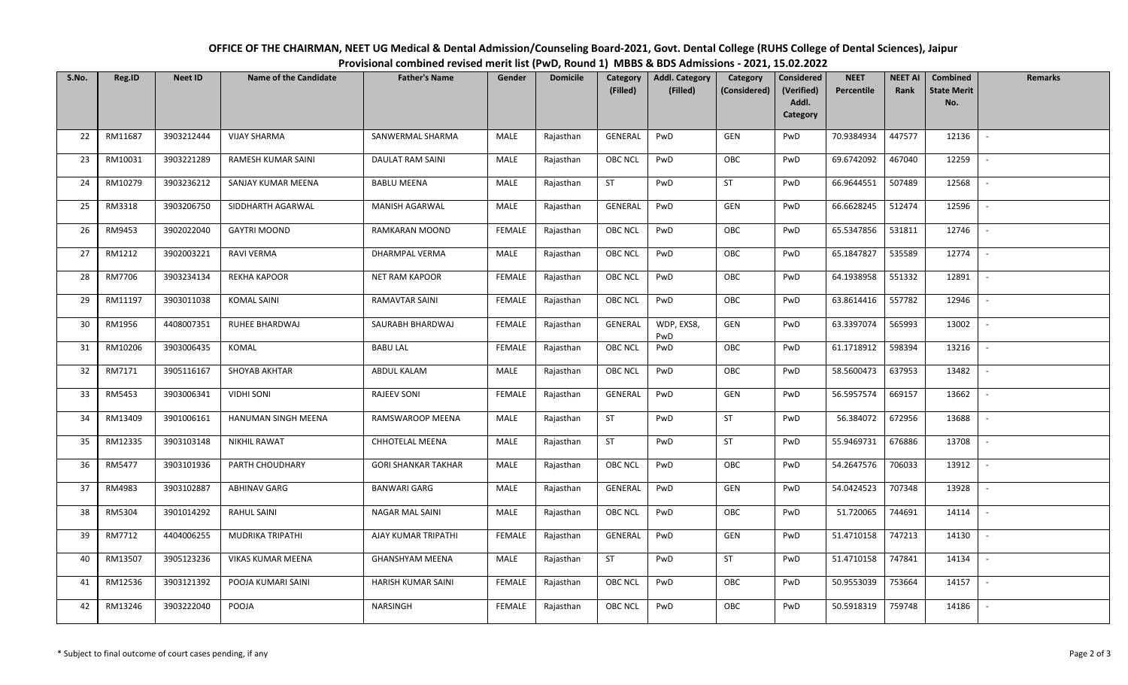| S.No. | Reg.ID  | <b>Neet ID</b> | <b>Name of the Candidate</b> | <b>Father's Name</b>       | Gender        | <b>Domicile</b> | Category<br>(Filled) | <b>Addl. Category</b><br>(Filled) | Category<br>(Considered) | <b>Considered</b><br>(Verified)<br>Addl.<br><b>Category</b> | <b>NEET</b><br>Percentile | <b>NEET AI</b><br>Rank | <b>Combined</b><br><b>State Merit</b><br>No. | <b>Remarks</b>           |
|-------|---------|----------------|------------------------------|----------------------------|---------------|-----------------|----------------------|-----------------------------------|--------------------------|-------------------------------------------------------------|---------------------------|------------------------|----------------------------------------------|--------------------------|
| 22    | RM11687 | 3903212444     | <b>VIJAY SHARMA</b>          | SANWERMAL SHARMA           | MALE          | Rajasthan       | GENERAL              | PwD                               | GEN                      | PwD                                                         | 70.9384934                | 447577                 | 12136                                        |                          |
| 23    | RM10031 | 3903221289     | RAMESH KUMAR SAINI           | <b>DAULAT RAM SAINI</b>    | MALE          | Rajasthan       | <b>OBC NCL</b>       | PwD                               | OBC                      | PwD                                                         | 69.6742092                | 467040                 | 12259                                        |                          |
| 24    | RM10279 | 3903236212     | SANJAY KUMAR MEENA           | <b>BABLU MEENA</b>         | MALE          | Rajasthan       | <b>ST</b>            | PwD                               | ST                       | PwD                                                         | 66.9644551                | 507489                 | 12568                                        |                          |
| 25    | RM3318  | 3903206750     | SIDDHARTH AGARWAL            | MANISH AGARWAL             | MALE          | Rajasthan       | GENERAL              | PwD                               | GEN                      | PwD                                                         | 66.6628245                | 512474                 | 12596                                        |                          |
| 26    | RM9453  | 3902022040     | <b>GAYTRI MOOND</b>          | RAMKARAN MOOND             | FEMALE        | Rajasthan       | <b>OBC NCL</b>       | PwD                               | OBC                      | PwD                                                         | 65.5347856                | 531811                 | 12746                                        | $\sim$                   |
| 27    | RM1212  | 3902003221     | RAVI VERMA                   | DHARMPAL VERMA             | MALE          | Rajasthan       | <b>OBC NCL</b>       | PwD                               | OBC                      | PwD                                                         | 65.1847827                | 535589                 | 12774                                        |                          |
| 28    | RM7706  | 3903234134     | <b>REKHA KAPOOR</b>          | <b>NET RAM KAPOOR</b>      | <b>FEMALE</b> | Rajasthan       | OBC NCL              | PwD                               | OBC                      | PwD                                                         | 64.1938958                | 551332                 | 12891                                        |                          |
| 29    | RM11197 | 3903011038     | <b>KOMAL SAINI</b>           | RAMAVTAR SAINI             | FEMALE        | Rajasthan       | <b>OBC NCL</b>       | PwD                               | OBC                      | PwD                                                         | 63.8614416                | 557782                 | 12946                                        | $\overline{\phantom{a}}$ |
| 30    | RM1956  | 4408007351     | RUHEE BHARDWAJ               | SAURABH BHARDWAJ           | FEMALE        | Rajasthan       | GENERAL              | WDP, EXS8,<br>PwD                 | GEN                      | PwD                                                         | 63.3397074                | 565993                 | 13002                                        |                          |
| 31    | RM10206 | 3903006435     | KOMAL                        | <b>BABU LAL</b>            | FEMALE        | Rajasthan       | <b>OBC NCL</b>       | PwD                               | OBC                      | PwD                                                         | 61.1718912                | 598394                 | 13216                                        | $\sim$                   |
| 32    | RM7171  | 3905116167     | SHOYAB AKHTAR                | ABDUL KALAM                | MALE          | Rajasthan       | OBC NCL              | PwD                               | OBC                      | PwD                                                         | 58.5600473                | 637953                 | 13482                                        |                          |
| 33    | RM5453  | 3903006341     | <b>VIDHI SONI</b>            | <b>RAJEEV SONI</b>         | FEMALE        | Rajasthan       | GENERAL              | PwD                               | GEN                      | PwD                                                         | 56.5957574                | 669157                 | 13662                                        | $\overline{\phantom{a}}$ |
| 34    | RM13409 | 3901006161     | HANUMAN SINGH MEENA          | RAMSWAROOP MEENA           | MALE          | Rajasthan       | <b>ST</b>            | PwD                               | ST                       | PwD                                                         | 56.384072                 | 672956                 | 13688                                        | $\sim$                   |
| 35    | RM12335 | 3903103148     | <b>NIKHIL RAWAT</b>          | CHHOTELAL MEENA            | MALE          | Rajasthan       | <b>ST</b>            | PwD                               | ST                       | PwD                                                         | 55.9469731                | 676886                 | 13708                                        |                          |
| 36    | RM5477  | 3903101936     | PARTH CHOUDHARY              | <b>GORI SHANKAR TAKHAR</b> | MALE          | Rajasthan       | <b>OBC NCL</b>       | PwD                               | OBC                      | PwD                                                         | 54.2647576                | 706033                 | 13912                                        |                          |
| 37    | RM4983  | 3903102887     | <b>ABHINAV GARG</b>          | <b>BANWARI GARG</b>        | <b>MALE</b>   | Rajasthan       | GENERAL              | PwD                               | <b>GEN</b>               | PwD                                                         | 54.0424523                | 707348                 | 13928                                        | $\sim$                   |
| 38    | RM5304  | 3901014292     | RAHUL SAINI                  | NAGAR MAL SAINI            | MALE          | Rajasthan       | OBC NCL              | PwD                               | OBC                      | PwD                                                         | 51.720065                 | 744691                 | 14114                                        | $\mathbb{L}$             |
| 39    | RM7712  | 4404006255     | MUDRIKA TRIPATHI             | AJAY KUMAR TRIPATHI        | FEMALE        | Rajasthan       | GENERAL              | PwD                               | GEN                      | PwD                                                         | 51.4710158                | 747213                 | 14130                                        | $\sim$                   |
| 40    | RM13507 | 3905123236     | VIKAS KUMAR MEENA            | GHANSHYAM MEENA            | MALE          | Rajasthan       | <b>ST</b>            | PwD                               | ST                       | PwD                                                         | 51.4710158                | 747841                 | 14134                                        |                          |
| 41    | RM12536 | 3903121392     | POOJA KUMARI SAINI           | HARISH KUMAR SAINI         | FEMALE        | Rajasthan       | OBC NCL              | PwD                               | OBC                      | PwD                                                         | 50.9553039                | 753664                 | 14157                                        | $\overline{\phantom{a}}$ |
| 42    | RM13246 | 3903222040     | POOJA                        | NARSINGH                   | FEMALE        | Rajasthan       | <b>OBC NCL</b>       | PwD                               | OBC                      | PwD                                                         | 50.5918319                | 759748                 | 14186                                        |                          |

## **OFFICE OF THE CHAIRMAN, NEET UG Medical & Dental Admission/Counseling Board‐2021, Govt. Dental College (RUHS College of Dental Sciences), Jaipur Provisional combined revised merit list (PwD, Round 1) MBBS & BDS Admissions ‐ 2021, 15.02.2022**